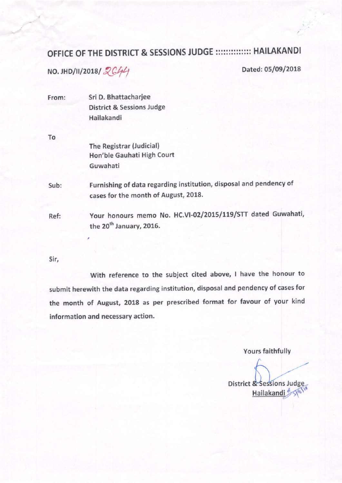## OFFICE OF THE DISTRICT & SESSIONS JUDGE ::::::::::::::: HAILAKANDI

 $NO. JHD/I/I/2018/2C44$  Dated: 05/09/2018

 $\epsilon$ 

| From: | Sri D. Bhattacharjee                                               |  |  |  |  |  |
|-------|--------------------------------------------------------------------|--|--|--|--|--|
|       | <b>District &amp; Sessions Judge</b>                               |  |  |  |  |  |
|       | Hailakandi                                                         |  |  |  |  |  |
| To    |                                                                    |  |  |  |  |  |
|       | The Registrar (Judicial)                                           |  |  |  |  |  |
|       | Hon'ble Gauhati High Court                                         |  |  |  |  |  |
|       | Guwahati                                                           |  |  |  |  |  |
| Sub:  | Furnishing of data regarding institution, disposal and pendency of |  |  |  |  |  |
|       | cases for the month of August, 2018.                               |  |  |  |  |  |
| Ref:  | Your honours memo No. HC.VI-02/2015/119/STT dated Guwahati,        |  |  |  |  |  |
|       | the 20 <sup>th</sup> January, 2016.                                |  |  |  |  |  |

Sir,

With reference to the subject cited above, I have the honour to submit herewith the data regarding institution, disposal and pendency of cases for the month of August, 2018 as per prescribed format for favour of your kind information and necessary action.

Yours faithfully

District & Sessions Judge Hailakandi